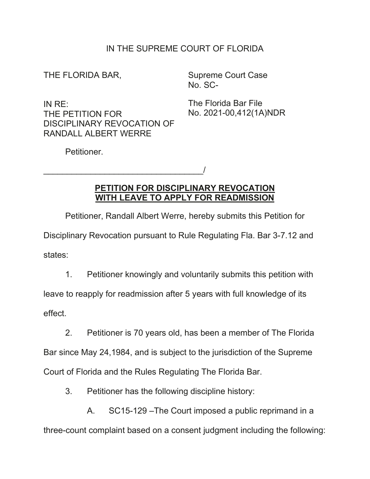## IN THE SUPREME COURT OF FLORIDA

THE FLORIDA BAR,

Supreme Court Case No. SC-

IN RE: THE PETITION FOR DISCIPLINARY REVOCATION OF RANDALL ALBERT WERRE

 $\overline{\phantom{a}}$ 

The Florida Bar File No. 2021-00,412(1A)NDR

Petitioner.

## **PETITION FOR DISCIPLINARY REVOCATION WITH LEAVE TO APPLY FOR READMISSION**

Petitioner, Randall Albert Werre, hereby submits this Petition for

Disciplinary Revocation pursuant to Rule Regulating Fla. Bar 3-7.12 and states:

1. Petitioner knowingly and voluntarily submits this petition with

leave to reapply for readmission after 5 years with full knowledge of its

effect.

2. Petitioner is 70 years old, has been a member of The Florida

Bar since May 24,1984, and is subject to the jurisdiction of the Supreme

Court of Florida and the Rules Regulating The Florida Bar.

3. Petitioner has the following discipline history:

A. SC15-129 –The Court imposed a public reprimand in a

three-count complaint based on a consent judgment including the following: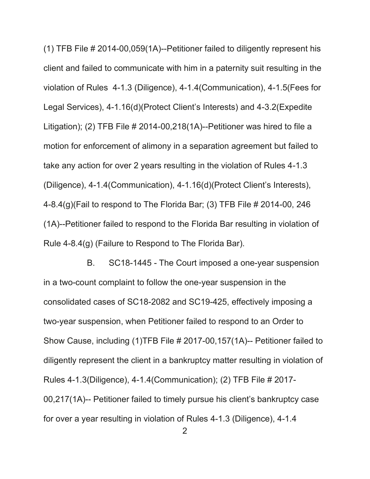(1) TFB File # 2014-00,059(1A)--Petitioner failed to diligently represent his client and failed to communicate with him in a paternity suit resulting in the violation of Rules 4-1.3 (Diligence), 4-1.4(Communication), 4-1.5(Fees for Legal Services), 4-1.16(d)(Protect Client's Interests) and 4-3.2(Expedite Litigation); (2) TFB File  $\#$  2014-00,218(1A)--Petitioner was hired to file a motion for enforcement of alimony in a separation agreement but failed to take any action for over 2 years resulting in the violation of Rules 4-1.3 (Diligence), 4-1.4(Communication), 4-1.16(d)(Protect Client's Interests), 4-8.4(g)(Fail to respond to The Florida Bar; (3) TFB File # 2014-00, 246 (1A)--Petitioner failed to respond to the Florida Bar resulting in violation of Rule 4-8.4(g) (Failure to Respond to The Florida Bar).

B. SC18-1445 - The Court imposed a one-year suspension in a two-count complaint to follow the one-year suspension in the consolidated cases of SC18-2082 and SC19-425, effectively imposing a two-year suspension, when Petitioner failed to respond to an Order to Show Cause, including (1)TFB File # 2017-00,157(1A)-- Petitioner failed to diligently represent the client in a bankruptcy matter resulting in violation of Rules 4-1.3(Diligence), 4-1.4(Communication); (2) TFB File # 2017- 00,217(1A)-- Petitioner failed to timely pursue his client's bankruptcy case for over a year resulting in violation of Rules 4-1.3 (Diligence), 4-1.4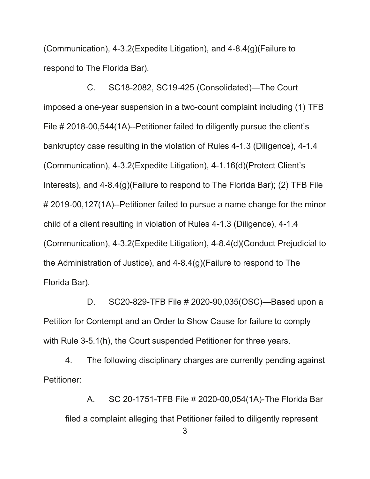(Communication), 4-3.2(Expedite Litigation), and 4-8.4(g)(Failure to respond to The Florida Bar).

C. SC18-2082, SC19-425 (Consolidated)—The Court imposed a one-year suspension in a two-count complaint including (1) TFB File # 2018-00,544(1A)--Petitioner failed to diligently pursue the client's bankruptcy case resulting in the violation of Rules 4-1.3 (Diligence), 4-1.4 (Communication), 4-3.2(Expedite Litigation), 4-1.16(d)(Protect Client's Interests), and 4-8.4(g)(Failure to respond to The Florida Bar); (2) TFB File # 2019-00,127(1A)--Petitioner failed to pursue a name change for the minor child of a client resulting in violation of Rules 4-1.3 (Diligence), 4-1.4 (Communication), 4-3.2(Expedite Litigation), 4-8.4(d)(Conduct Prejudicial to the Administration of Justice), and 4-8.4(g)(Failure to respond to The Florida Bar).

D. SC20-829-TFB File # 2020-90,035(OSC)—Based upon a Petition for Contempt and an Order to Show Cause for failure to comply with Rule 3-5.1(h), the Court suspended Petitioner for three years.

4. The following disciplinary charges are currently pending against Petitioner:

A. SC 20-1751-TFB File # 2020-00,054(1A)-The Florida Bar filed a complaint alleging that Petitioner failed to diligently represent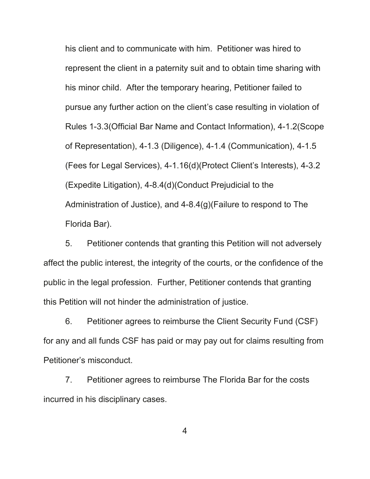his client and to communicate with him. Petitioner was hired to represent the client in a paternity suit and to obtain time sharing with his minor child. After the temporary hearing, Petitioner failed to pursue any further action on the client's case resulting in violation of Rules 1-3.3(Official Bar Name and Contact Information), 4-1.2(Scope of Representation), 4-1.3 (Diligence), 4-1.4 (Communication), 4-1.5 (Fees for Legal Services), 4-1.16(d)(Protect Client's Interests), 4-3.2 (Expedite Litigation), 4-8.4(d)(Conduct Prejudicial to the Administration of Justice), and 4-8.4(g)(Failure to respond to The Florida Bar).

5. Petitioner contends that granting this Petition will not adversely affect the public interest, the integrity of the courts, or the confidence of the public in the legal profession. Further, Petitioner contends that granting this Petition will not hinder the administration of justice.

6. Petitioner agrees to reimburse the Client Security Fund (CSF) for any and all funds CSF has paid or may pay out for claims resulting from Petitioner's misconduct.

7. Petitioner agrees to reimburse The Florida Bar for the costs incurred in his disciplinary cases.

4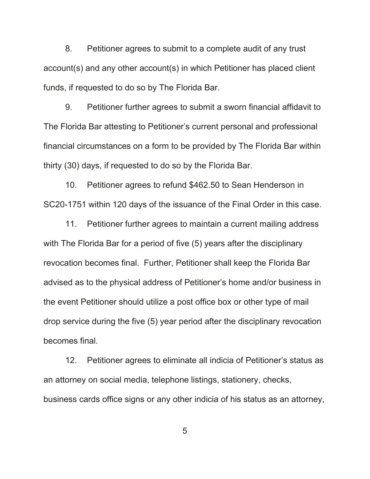8. Petitioner agrees to submit to a complete audit of any trust account(s) and any other account(s) in which Petitioner has placed client funds, if requested to do so by The Florida Bar.

9. Petitioner further agrees to submit a sworn financial affidavit to The Florida Bar attesting to Petitioner's current personal and professional financial circumstances on a form to be provided by The Florida Bar within thirty (30) days, if requested to do so by the Florida Bar.

10. Petitioner agrees to refund \$462.50 to Sean Henderson in SC20-1751 within 120 days of the issuance of the Final Order in this case.

11. Petitioner further agrees to maintain a current mailing address with The Florida Bar for a period of five (5) years after the disciplinary revocation becomes final. Further, Petitioner shall keep the Florida Bar advised as to the physical address of Petitioner's home and/or business in the event Petitioner should utilize a post office box or other type of mail drop service during the five (5) year period after the disciplinary revocation becomes final.

12. Petitioner agrees to eliminate all indicia of Petitioner's status as an attorney on social media, telephone listings, stationery, checks, business cards office signs or any other indicia of his status as an attorney,

5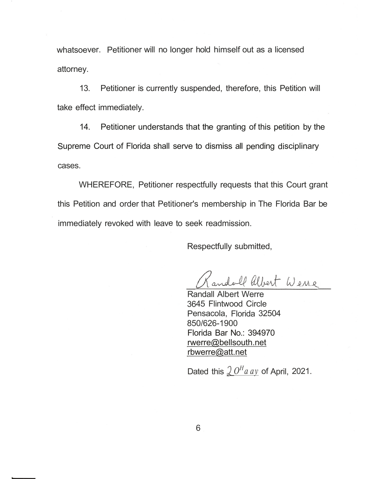whatsoever. Petitioner will no longer hold himself out as a licensed attorney.

13. Petitioner is currently suspended, therefore, this Petition will take effect immediately.

14. Petitioner understands that the granting of this petition by the Supreme Court of Florida shall serve to dismiss all pending disciplinary cases.

WHEREFORE, Petitioner respectfully requests that this Court grant this Petition and order that Petitioner's membership in The Florida Bar be immediately revoked with leave to seek readmission.

Respectfully submitted,

andoll albert Wene

Randall Albert Werre 3645 Flintwood Circle Pensacola, Florida 32504 850/626-1900 Florida Bar No.: 394970  $rwerre@belsouth.net$  $rbwerre@at$ .net

Dated this  $20<sup>H</sup>$ *a ay* of April, 2021.